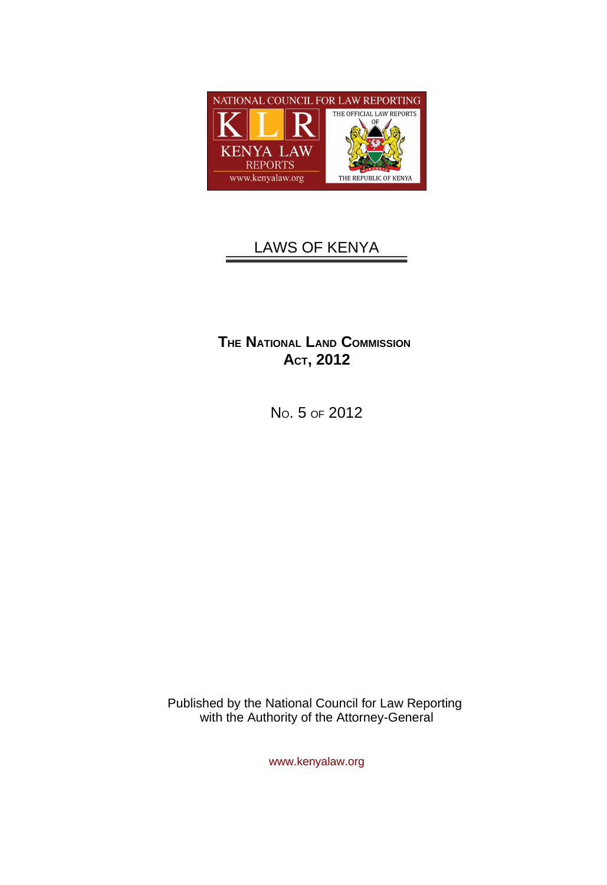

# LAWS OF KENYA

# **THE NATIONAL LAND COMMISSION ACT, 2012**

NO. 5 OF 2012

Published by the National Council for Law Reporting with the Authority of the Attorney-General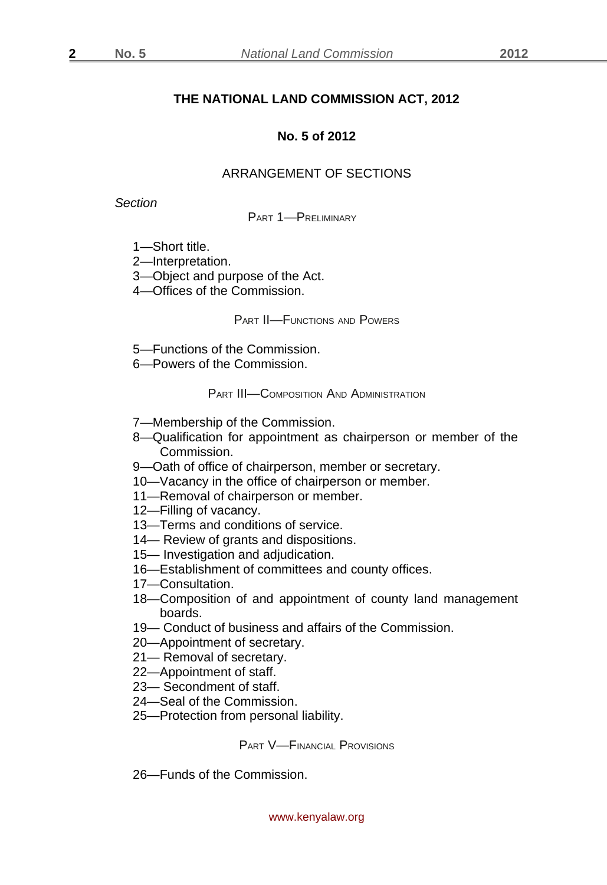**2**

## **THE NATIONAL LAND COMMISSION ACT, 2012**

#### **No. 5 of 2012**

# ARRANGEMENT OF SECTIONS

*Section*

PART 1—PRELIMINARY

- 1—Short title.
- 2—Interpretation.
- 3—Object and purpose of the Act.
- 4—Offices of the Commission.

PART II—FUNCTIONS AND POWERS

- 5—Functions of the Commission.
- 6—Powers of the Commission.

PART III—COMPOSITION AND ADMINISTRATION

- 7—Membership of the Commission.
- 8—Qualification for appointment as chairperson or member of the Commission.
- 9—Oath of office of chairperson, member or secretary.
- 10—Vacancy in the office of chairperson or member.
- 11—Removal of chairperson or member.
- 12—Filling of vacancy.
- 13—Terms and conditions of service.
- 14— Review of grants and dispositions.
- 15— Investigation and adjudication.
- 16—Establishment of committees and county offices.
- 17—Consultation.
- 18—Composition of and appointment of county land management boards.
- 19— Conduct of business and affairs of the Commission.
- 20—Appointment of secretary.
- 21— Removal of secretary.
- 22—Appointment of staff.
- 23— Secondment of staff.
- 24—Seal of the Commission.
- 25—Protection from personal liability.

PART V—FINANCIAL PROVISIONS

26—Funds of the Commission.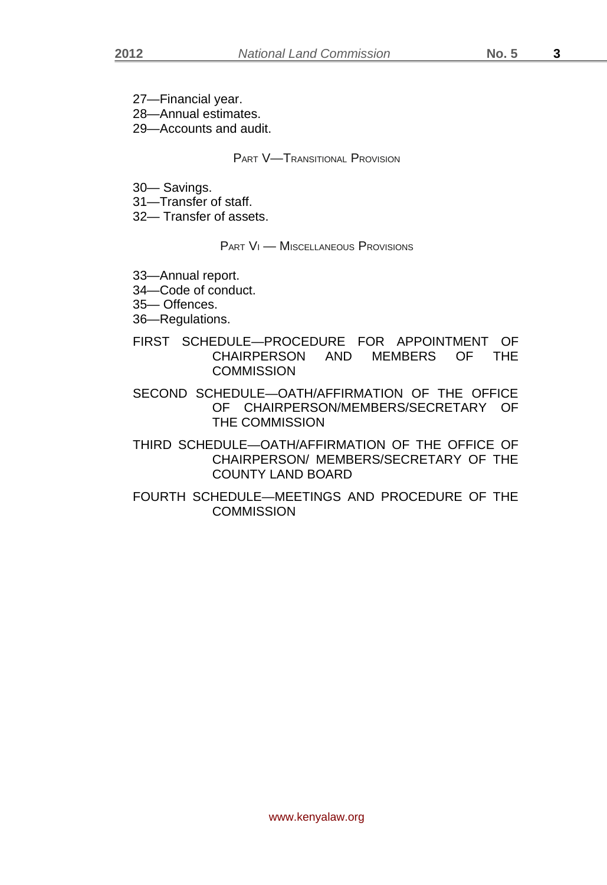27—Financial year.

28—Annual estimates.

29—Accounts and audit.

## PART V—TRANSITIONAL PROVISION

30— Savings.

31—Transfer of staff.

32— Transfer of assets.

PART VI — MISCELLANEOUS PROVISIONS

- 33—Annual report.
- 34—Code of conduct.
- 35— Offences.
- 36—Regulations.
- FIRST SCHEDULE—PROCEDURE FOR APPOINTMENT OF CHAIRPERSON AND MEMBERS OF THE **COMMISSION**
- SECOND SCHEDULE—OATH/AFFIRMATION OF THE OFFICE OF CHAIRPERSON/MEMBERS/SECRETARY OF THE COMMISSION
- THIRD SCHEDULE—OATH/AFFIRMATION OF THE OFFICE OF CHAIRPERSON/ MEMBERS/SECRETARY OF THE COUNTY LAND BOARD
- FOURTH SCHEDULE—MEETINGS AND PROCEDURE OF THE **COMMISSION**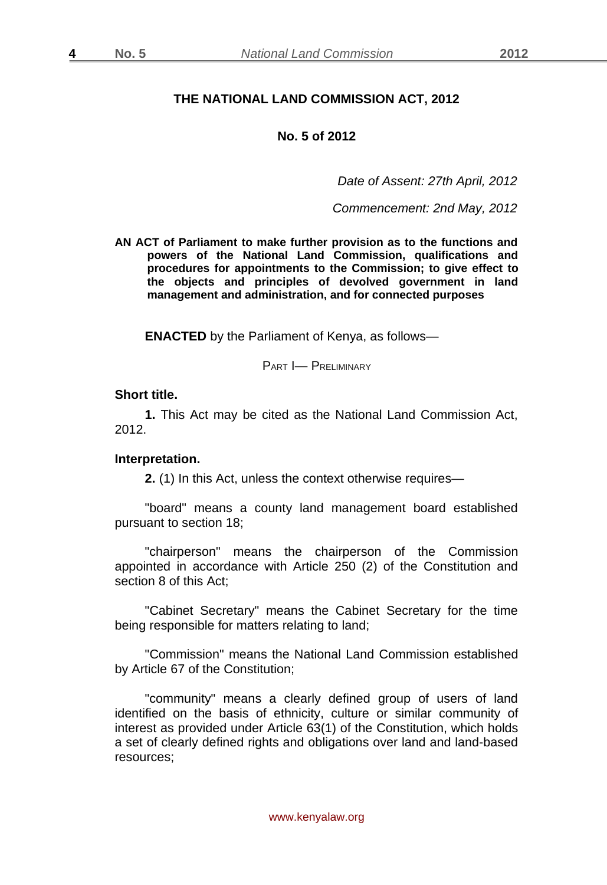**4**

## **THE NATIONAL LAND COMMISSION ACT, 2012**

#### **No. 5 of 2012**

*Date of Assent: 27th April, 2012*

*Commencement: 2nd May, 2012*

**AN ACT of Parliament to make further provision as to the functions and powers of the National Land Commission, qualifications and procedures for appointments to the Commission; to give effect to the objects and principles of devolved government in land management and administration, and for connected purposes**

**ENACTED** by the Parliament of Kenya, as follows—

PART I— PRELIMINARY

#### **Short title.**

**1.** This Act may be cited as the National Land Commission Act, 2012.

#### **Interpretation.**

**2.** (1) In this Act, unless the context otherwise requires—

"board" means a county land management board established pursuant to section 18;

"chairperson" means the chairperson of the Commission appointed in accordance with Article 250 (2) of the Constitution and section 8 of this Act;

"Cabinet Secretary" means the Cabinet Secretary for the time being responsible for matters relating to land;

"Commission" means the National Land Commission established by Article 67 of the Constitution;

"community" means a clearly defined group of users of land identified on the basis of ethnicity, culture or similar community of interest as provided under Article 63(1) of the Constitution, which holds a set of clearly defined rights and obligations over land and land-based resources;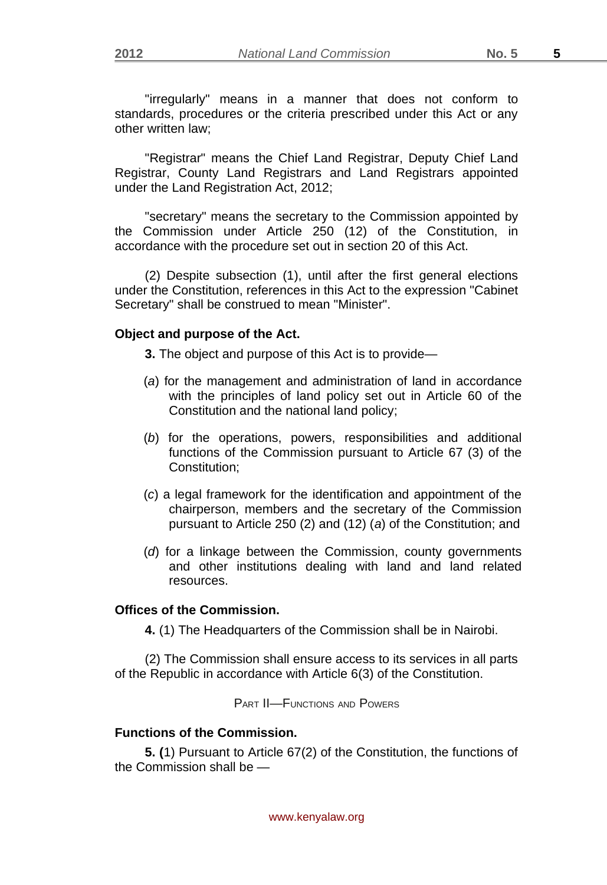"irregularly" means in a manner that does not conform to standards, procedures or the criteria prescribed under this Act or any other written law;

"Registrar" means the Chief Land Registrar, Deputy Chief Land Registrar, County Land Registrars and Land Registrars appointed under the Land Registration Act, 2012;

"secretary" means the secretary to the Commission appointed by the Commission under Article 250 (12) of the Constitution, in accordance with the procedure set out in section 20 of this Act.

(2) Despite subsection (1), until after the first general elections under the Constitution, references in this Act to the expression "Cabinet Secretary" shall be construed to mean "Minister".

## **Object and purpose of the Act.**

**3.** The object and purpose of this Act is to provide—

- (*a*) for the management and administration of land in accordance with the principles of land policy set out in Article 60 of the Constitution and the national land policy;
- (*b*) for the operations, powers, responsibilities and additional functions of the Commission pursuant to Article 67 (3) of the Constitution;
- (*c*) a legal framework for the identification and appointment of the chairperson, members and the secretary of the Commission pursuant to Article 250 (2) and (12) (*a*) of the Constitution; and
- (*d*) for a linkage between the Commission, county governments and other institutions dealing with land and land related resources.

## **Offices of the Commission.**

**4.** (1) The Headquarters of the Commission shall be in Nairobi.

(2) The Commission shall ensure access to its services in all parts of the Republic in accordance with Article 6(3) of the Constitution.

PART II—FUNCTIONS AND POWERS

# **Functions of the Commission.**

**5. (**1) Pursuant to Article 67(2) of the Constitution, the functions of the Commission shall be —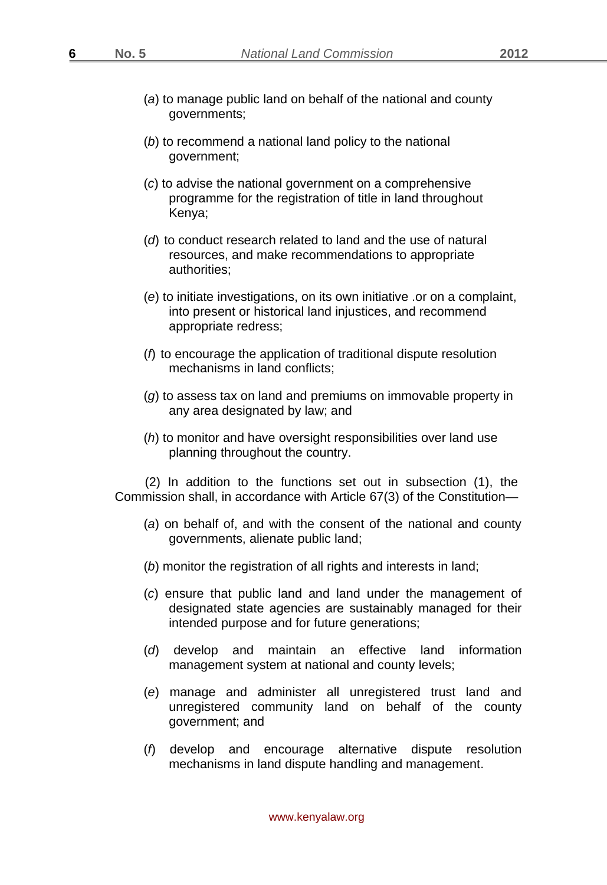**6**

- (*a*) to manage public land on behalf of the national and county governments;
- (*b*) to recommend a national land policy to the national government;
- (*c*) to advise the national government on a comprehensive programme for the registration of title in land throughout Kenya;
- (*d*) to conduct research related to land and the use of natural resources, and make recommendations to appropriate authorities;
- (*e*) to initiate investigations, on its own initiative .or on a complaint, into present or historical land injustices, and recommend appropriate redress;
- (*f*) to encourage the application of traditional dispute resolution mechanisms in land conflicts;
- (*g*) to assess tax on land and premiums on immovable property in any area designated by law; and
- (*h*) to monitor and have oversight responsibilities over land use planning throughout the country.

(2) In addition to the functions set out in subsection (1), the Commission shall, in accordance with Article 67(3) of the Constitution—

- (*a*) on behalf of, and with the consent of the national and county governments, alienate public land;
- (*b*) monitor the registration of all rights and interests in land;
- (*c*) ensure that public land and land under the management of designated state agencies are sustainably managed for their intended purpose and for future generations;
- (*d*) develop and maintain an effective land information management system at national and county levels;
- (*e*) manage and administer all unregistered trust land and unregistered community land on behalf of the county government; and
- (*f*) develop and encourage alternative dispute resolution mechanisms in land dispute handling and management.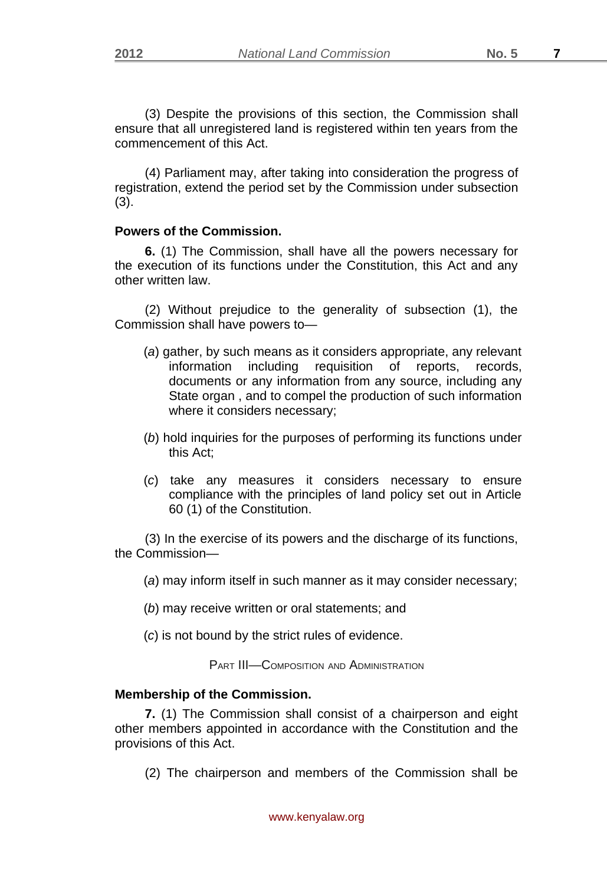(3) Despite the provisions of this section, the Commission shall ensure that all unregistered land is registered within ten years from the commencement of this Act.

(4) Parliament may, after taking into consideration the progress of registration, extend the period set by the Commission under subsection (3).

## **Powers of the Commission.**

**6.** (1) The Commission, shall have all the powers necessary for the execution of its functions under the Constitution, this Act and any other written law.

(2) Without prejudice to the generality of subsection (1), the Commission shall have powers to—

- (*a*) gather, by such means as it considers appropriate, any relevant information including requisition of reports, records, documents or any information from any source, including any State organ , and to compel the production of such information where it considers necessary;
- (*b*) hold inquiries for the purposes of performing its functions under this Act;
- (*c*) take any measures it considers necessary to ensure compliance with the principles of land policy set out in Article 60 (1) of the Constitution.

(3) In the exercise of its powers and the discharge of its functions, the Commission—

- (*a*) may inform itself in such manner as it may consider necessary;
- (*b*) may receive written or oral statements; and
- (*c*) is not bound by the strict rules of evidence.

PART III—COMPOSITION AND ADMINISTRATION

## **Membership of the Commission.**

**7.** (1) The Commission shall consist of a chairperson and eight other members appointed in accordance with the Constitution and the provisions of this Act.

(2) The chairperson and members of the Commission shall be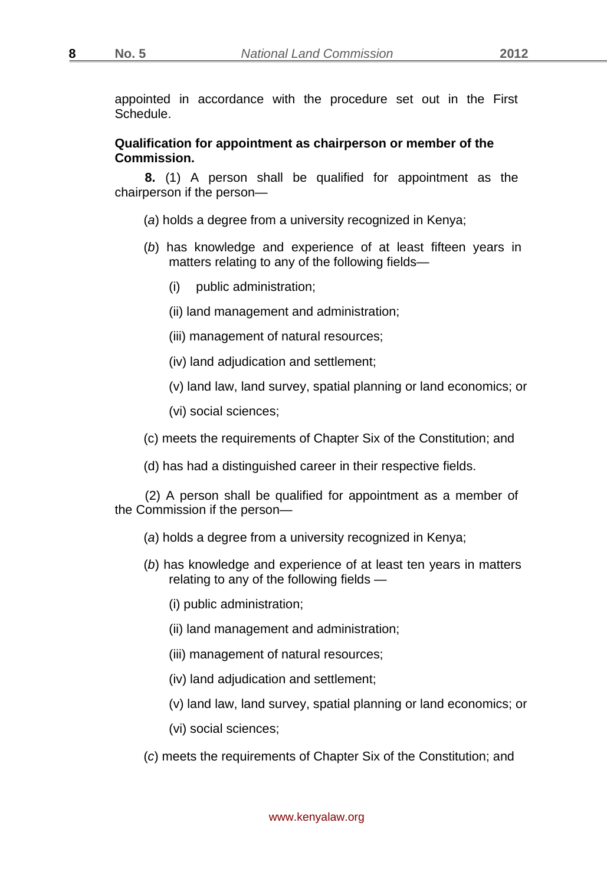**8**

appointed in accordance with the procedure set out in the First Schedule.

## **Qualification for appointment as chairperson or member of the Commission.**

**8.** (1) A person shall be qualified for appointment as the chairperson if the person—

- (*a*) holds a degree from a university recognized in Kenya;
- (*b*) has knowledge and experience of at least fifteen years in matters relating to any of the following fields—
	- (i) public administration;
	- (ii) land management and administration;
	- (iii) management of natural resources;
	- (iv) land adjudication and settlement;
	- (v) land law, land survey, spatial planning or land economics; or
	- (vi) social sciences;
- (c) meets the requirements of Chapter Six of the Constitution; and
- (d) has had a distinguished career in their respective fields.

(2) A person shall be qualified for appointment as a member of the Commission if the person—

- (*a*) holds a degree from a university recognized in Kenya;
- (*b*) has knowledge and experience of at least ten years in matters relating to any of the following fields —
	- (i) public administration;
	- (ii) land management and administration;
	- (iii) management of natural resources;
	- (iv) land adjudication and settlement;
	- (v) land law, land survey, spatial planning or land economics; or
	- (vi) social sciences;
- (*c*) meets the requirements of Chapter Six of the Constitution; and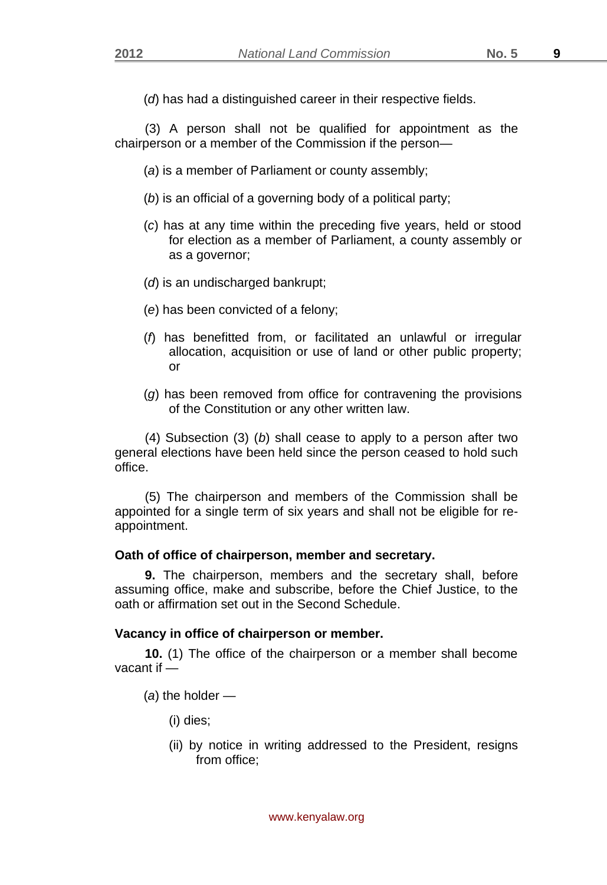(*d*) has had a distinguished career in their respective fields.

(3) A person shall not be qualified for appointment as the chairperson or a member of the Commission if the person—

- (*a*) is a member of Parliament or county assembly;
- (*b*) is an official of a governing body of a political party;
- (*c*) has at any time within the preceding five years, held or stood for election as a member of Parliament, a county assembly or as a governor;
- (*d*) is an undischarged bankrupt;
- (*e*) has been convicted of a felony;
- (*f*) has benefitted from, or facilitated an unlawful or irregular allocation, acquisition or use of land or other public property; or
- (*g*) has been removed from office for contravening the provisions of the Constitution or any other written law.

(4) Subsection (3) (*b*) shall cease to apply to a person after two general elections have been held since the person ceased to hold such office.

(5) The chairperson and members of the Commission shall be appointed for a single term of six years and shall not be eligible for reappointment.

## **Oath of office of chairperson, member and secretary.**

**9.** The chairperson, members and the secretary shall, before assuming office, make and subscribe, before the Chief Justice, to the oath or affirmation set out in the Second Schedule.

## **Vacancy in office of chairperson or member.**

**10.** (1) The office of the chairperson or a member shall become vacant if —

- (*a*) the holder
	- (i) dies;
	- (ii) by notice in writing addressed to the President, resigns from office;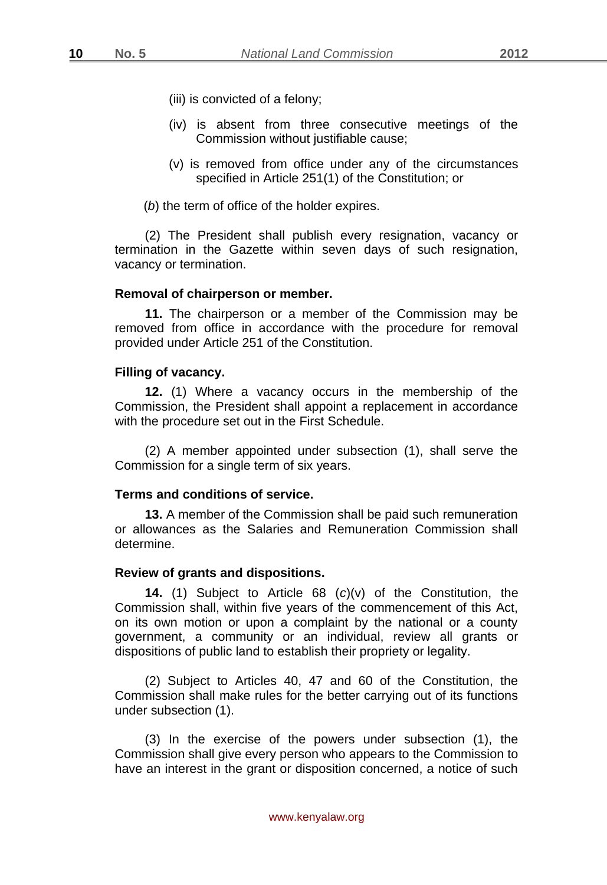- (iii) is convicted of a felony;
- (iv) is absent from three consecutive meetings of the Commission without justifiable cause;
- (v) is removed from office under any of the circumstances specified in Article 251(1) of the Constitution; or
- (*b*) the term of office of the holder expires.

(2) The President shall publish every resignation, vacancy or termination in the Gazette within seven days of such resignation, vacancy or termination.

#### **Removal of chairperson or member.**

**11.** The chairperson or a member of the Commission may be removed from office in accordance with the procedure for removal provided under Article 251 of the Constitution.

#### **Filling of vacancy.**

**12.** (1) Where a vacancy occurs in the membership of the Commission, the President shall appoint a replacement in accordance with the procedure set out in the First Schedule.

(2) A member appointed under subsection (1), shall serve the Commission for a single term of six years.

#### **Terms and conditions of service.**

**13.** A member of the Commission shall be paid such remuneration or allowances as the Salaries and Remuneration Commission shall determine.

#### **Review of grants and dispositions.**

**14.** (1) Subject to Article 68 (*c*)(v) of the Constitution, the Commission shall, within five years of the commencement of this Act, on its own motion or upon a complaint by the national or a county government, a community or an individual, review all grants or dispositions of public land to establish their propriety or legality.

(2) Subject to Articles 40, 47 and 60 of the Constitution, the Commission shall make rules for the better carrying out of its functions under subsection (1).

(3) In the exercise of the powers under subsection (1), the Commission shall give every person who appears to the Commission to have an interest in the grant or disposition concerned, a notice of such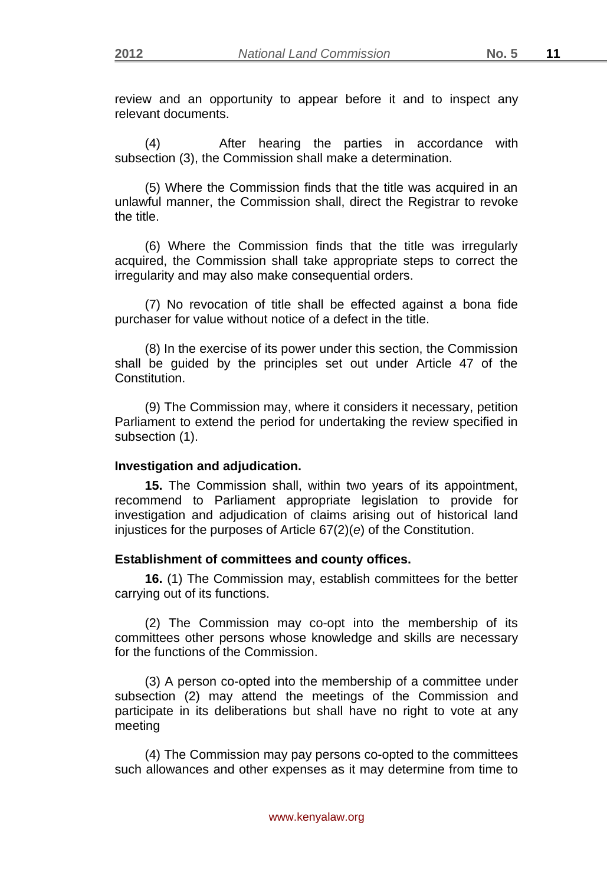review and an opportunity to appear before it and to inspect any relevant documents.

(4) After hearing the parties in accordance with subsection (3), the Commission shall make a determination.

(5) Where the Commission finds that the title was acquired in an unlawful manner, the Commission shall, direct the Registrar to revoke the title.

(6) Where the Commission finds that the title was irregularly acquired, the Commission shall take appropriate steps to correct the irregularity and may also make consequential orders.

(7) No revocation of title shall be effected against a bona fide purchaser for value without notice of a defect in the title.

(8) In the exercise of its power under this section, the Commission shall be guided by the principles set out under Article 47 of the **Constitution** 

(9) The Commission may, where it considers it necessary, petition Parliament to extend the period for undertaking the review specified in subsection (1).

#### **Investigation and adjudication.**

**15.** The Commission shall, within two years of its appointment, recommend to Parliament appropriate legislation to provide for investigation and adjudication of claims arising out of historical land injustices for the purposes of Article 67(2)(*e*) of the Constitution.

#### **Establishment of committees and county offices.**

**16.** (1) The Commission may, establish committees for the better carrying out of its functions.

(2) The Commission may co-opt into the membership of its committees other persons whose knowledge and skills are necessary for the functions of the Commission.

(3) A person co-opted into the membership of a committee under subsection (2) may attend the meetings of the Commission and participate in its deliberations but shall have no right to vote at any meeting

(4) The Commission may pay persons co-opted to the committees such allowances and other expenses as it may determine from time to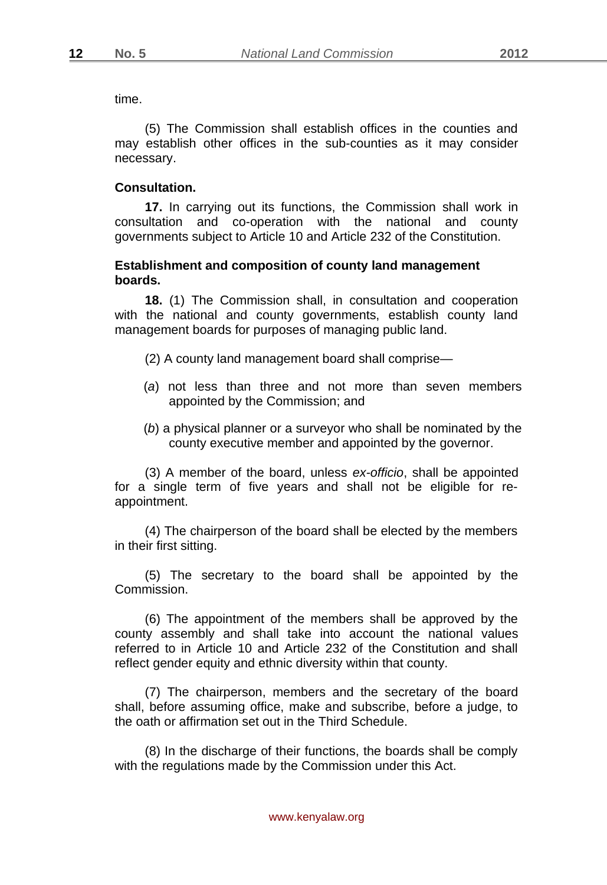time.

(5) The Commission shall establish offices in the counties and may establish other offices in the sub-counties as it may consider necessary.

#### **Consultation.**

**17.** In carrying out its functions, the Commission shall work in consultation and co-operation with the national and county governments subject to Article 10 and Article 232 of the Constitution.

## **Establishment and composition of county land management boards.**

**18.** (1) The Commission shall, in consultation and cooperation with the national and county governments, establish county land management boards for purposes of managing public land.

(2) A county land management board shall comprise—

- (*a*) not less than three and not more than seven members appointed by the Commission; and
- (*b*) a physical planner or a surveyor who shall be nominated by the county executive member and appointed by the governor.

(3) A member of the board, unless *ex-officio*, shall be appointed for a single term of five years and shall not be eligible for reappointment.

(4) The chairperson of the board shall be elected by the members in their first sitting.

(5) The secretary to the board shall be appointed by the Commission.

(6) The appointment of the members shall be approved by the county assembly and shall take into account the national values referred to in Article 10 and Article 232 of the Constitution and shall reflect gender equity and ethnic diversity within that county.

(7) The chairperson, members and the secretary of the board shall, before assuming office, make and subscribe, before a judge, to the oath or affirmation set out in the Third Schedule.

(8) In the discharge of their functions, the boards shall be comply with the regulations made by the Commission under this Act.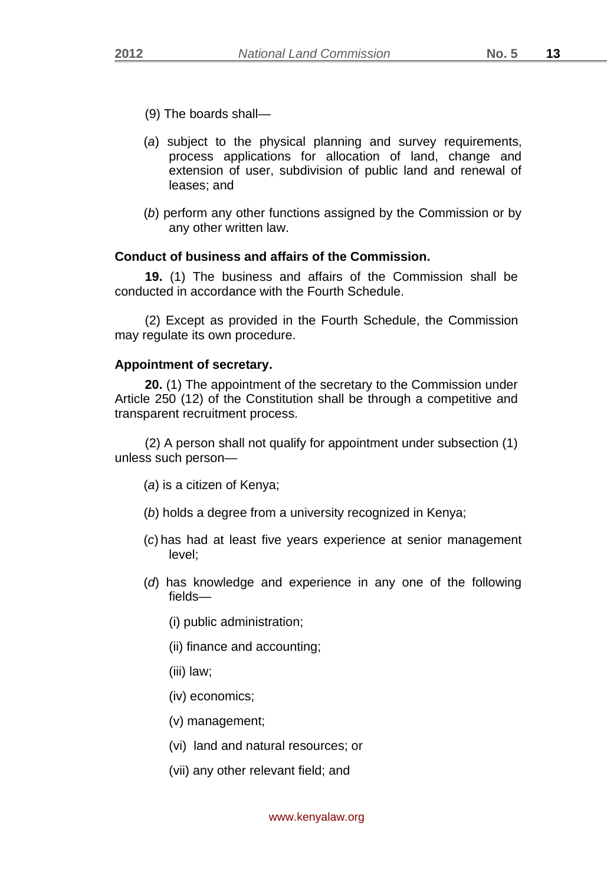- (9) The boards shall—
- (*a*) subject to the physical planning and survey requirements, process applications for allocation of land, change and extension of user, subdivision of public land and renewal of leases; and
- (*b*) perform any other functions assigned by the Commission or by any other written law.

# **Conduct of business and affairs of the Commission.**

**19.** (1) The business and affairs of the Commission shall be conducted in accordance with the Fourth Schedule.

(2) Except as provided in the Fourth Schedule, the Commission may regulate its own procedure.

## **Appointment of secretary.**

**20.** (1) The appointment of the secretary to the Commission under Article 250 (12) of the Constitution shall be through a competitive and transparent recruitment process.

(2) A person shall not qualify for appointment under subsection (1) unless such person—

- (*a*) is a citizen of Kenya;
- (*b*) holds a degree from a university recognized in Kenya;
- (*c*)has had at least five years experience at senior management level;
- (*d*) has knowledge and experience in any one of the following fields—
	- (i) public administration;
	- (ii) finance and accounting;
	- (iii) law;
	- (iv) economics;
	- (v) management;
	- (vi) land and natural resources; or
	- (vii) any other relevant field; and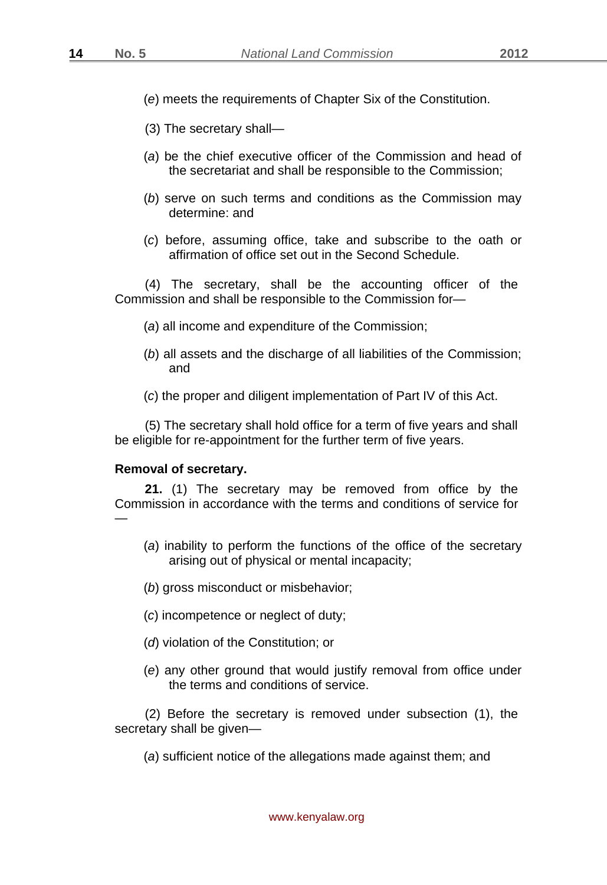- (*e*) meets the requirements of Chapter Six of the Constitution.
- (3) The secretary shall—
- (*a*) be the chief executive officer of the Commission and head of the secretariat and shall be responsible to the Commission;
- (*b*) serve on such terms and conditions as the Commission may determine: and
- (*c*) before, assuming office, take and subscribe to the oath or affirmation of office set out in the Second Schedule.

(4) The secretary, shall be the accounting officer of the Commission and shall be responsible to the Commission for—

- (*a*) all income and expenditure of the Commission;
- (*b*) all assets and the discharge of all liabilities of the Commission; and
- (*c*) the proper and diligent implementation of Part IV of this Act.

(5) The secretary shall hold office for a term of five years and shall be eligible for re-appointment for the further term of five years.

#### **Removal of secretary.**

**21.** (1) The secretary may be removed from office by the Commission in accordance with the terms and conditions of service for —

- (*a*) inability to perform the functions of the office of the secretary arising out of physical or mental incapacity;
- (*b*) gross misconduct or misbehavior;
- (*c*) incompetence or neglect of duty;
- (*d*) violation of the Constitution; or
- (*e*) any other ground that would justify removal from office under the terms and conditions of service.

(2) Before the secretary is removed under subsection (1), the secretary shall be given—

(*a*) sufficient notice of the allegations made against them; and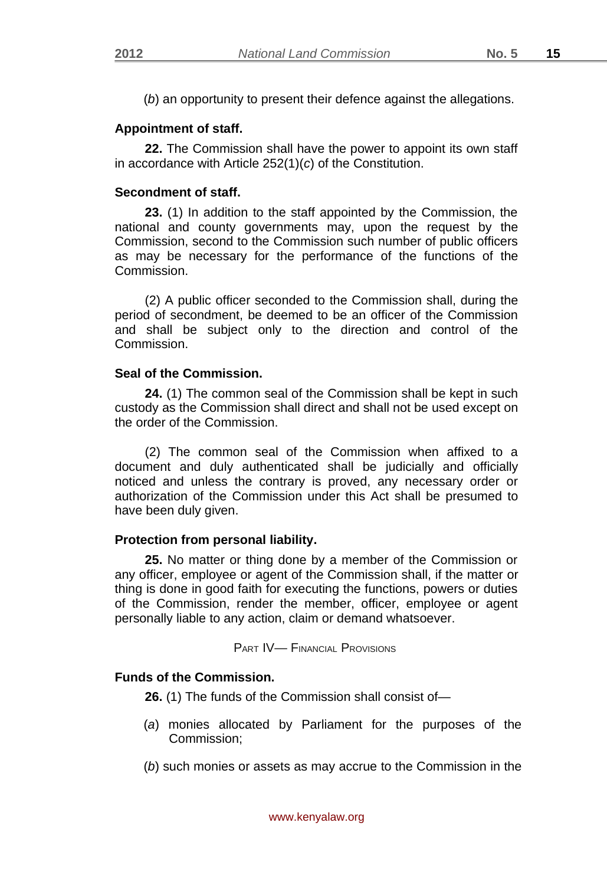(*b*) an opportunity to present their defence against the allegations.

# **Appointment of staff.**

**22.** The Commission shall have the power to appoint its own staff in accordance with Article 252(1)(*c*) of the Constitution.

## **Secondment of staff.**

**23.** (1) In addition to the staff appointed by the Commission, the national and county governments may, upon the request by the Commission, second to the Commission such number of public officers as may be necessary for the performance of the functions of the Commission.

(2) A public officer seconded to the Commission shall, during the period of secondment, be deemed to be an officer of the Commission and shall be subject only to the direction and control of the Commission.

## **Seal of the Commission.**

**24.** (1) The common seal of the Commission shall be kept in such custody as the Commission shall direct and shall not be used except on the order of the Commission.

(2) The common seal of the Commission when affixed to a document and duly authenticated shall be judicially and officially noticed and unless the contrary is proved, any necessary order or authorization of the Commission under this Act shall be presumed to have been duly given.

## **Protection from personal liability.**

**25.** No matter or thing done by a member of the Commission or any officer, employee or agent of the Commission shall, if the matter or thing is done in good faith for executing the functions, powers or duties of the Commission, render the member, officer, employee or agent personally liable to any action, claim or demand whatsoever.

PART IV— FINANCIAL PROVISIONS

# **Funds of the Commission.**

**26.** (1) The funds of the Commission shall consist of—

- (*a*) monies allocated by Parliament for the purposes of the Commission;
- (*b*) such monies or assets as may accrue to the Commission in the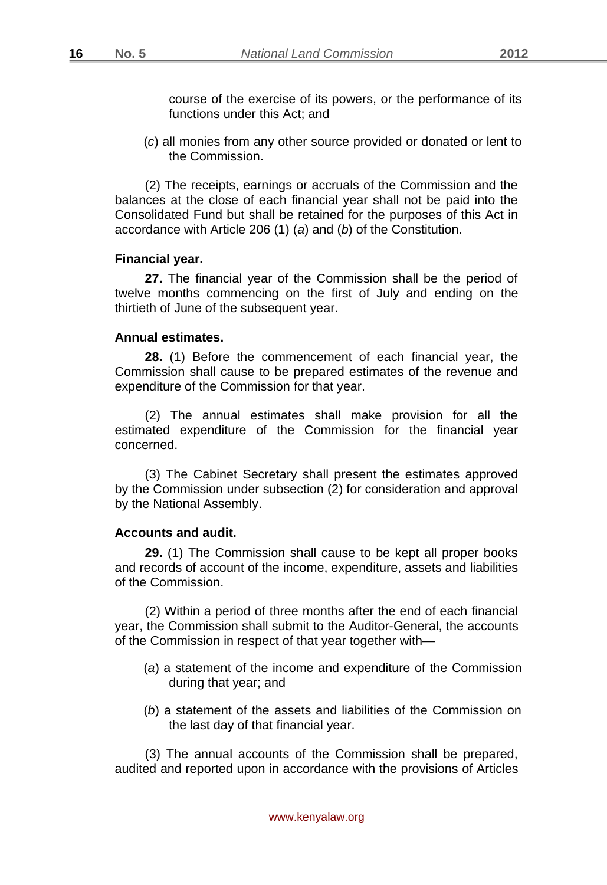course of the exercise of its powers, or the performance of its functions under this Act; and

(*c*) all monies from any other source provided or donated or lent to the Commission.

(2) The receipts, earnings or accruals of the Commission and the balances at the close of each financial year shall not be paid into the Consolidated Fund but shall be retained for the purposes of this Act in accordance with Article 206 (1) (*a*) and (*b*) of the Constitution.

#### **Financial year.**

**27.** The financial year of the Commission shall be the period of twelve months commencing on the first of July and ending on the thirtieth of June of the subsequent year.

#### **Annual estimates.**

**28.** (1) Before the commencement of each financial year, the Commission shall cause to be prepared estimates of the revenue and expenditure of the Commission for that year.

(2) The annual estimates shall make provision for all the estimated expenditure of the Commission for the financial year concerned.

(3) The Cabinet Secretary shall present the estimates approved by the Commission under subsection (2) for consideration and approval by the National Assembly.

#### **Accounts and audit.**

**29.** (1) The Commission shall cause to be kept all proper books and records of account of the income, expenditure, assets and liabilities of the Commission.

(2) Within a period of three months after the end of each financial year, the Commission shall submit to the Auditor-General, the accounts of the Commission in respect of that year together with—

- (*a*) a statement of the income and expenditure of the Commission during that year; and
- (*b*) a statement of the assets and liabilities of the Commission on the last day of that financial year.

(3) The annual accounts of the Commission shall be prepared, audited and reported upon in accordance with the provisions of Articles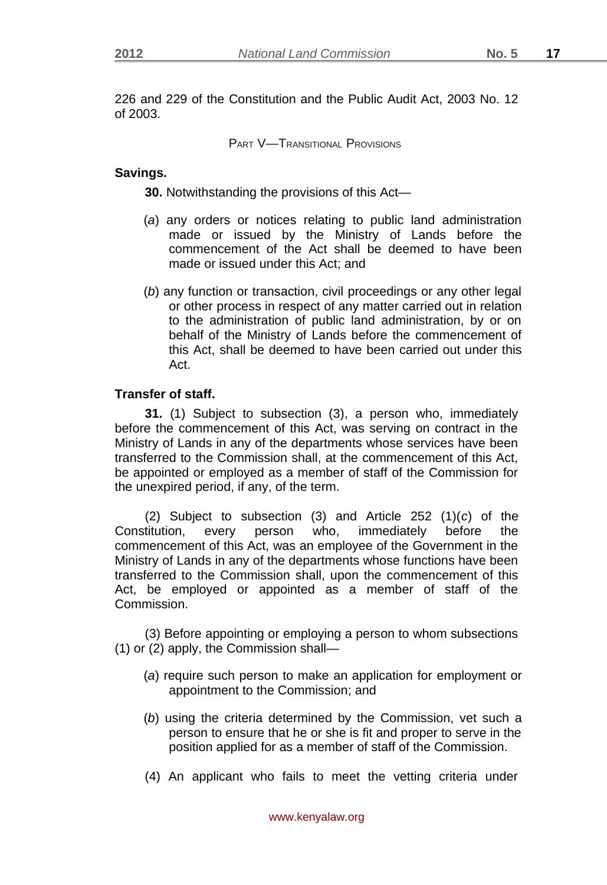226 and 229 of the Constitution and the Public Audit Act, 2003 No. 12 of 2003.

PART V—TRANSITIONAL PROVISIONS

## **Savings.**

**30.** Notwithstanding the provisions of this Act—

- (*a*) any orders or notices relating to public land administration made or issued by the Ministry of Lands before the commencement of the Act shall be deemed to have been made or issued under this Act; and
- (*b*) any function or transaction, civil proceedings or any other legal or other process in respect of any matter carried out in relation to the administration of public land administration, by or on behalf of the Ministry of Lands before the commencement of this Act, shall be deemed to have been carried out under this Act.

# **Transfer of staff.**

**31.** (1) Subject to subsection (3), a person who, immediately before the commencement of this Act, was serving on contract in the Ministry of Lands in any of the departments whose services have been transferred to the Commission shall, at the commencement of this Act, be appointed or employed as a member of staff of the Commission for the unexpired period, if any, of the term.

(2) Subject to subsection (3) and Article 252 (1)(*c*) of the Constitution, every person who, immediately before the commencement of this Act, was an employee of the Government in the Ministry of Lands in any of the departments whose functions have been transferred to the Commission shall, upon the commencement of this Act, be employed or appointed as a member of staff of the Commission.

(3) Before appointing or employing a person to whom subsections (1) or (2) apply, the Commission shall—

- (*a*) require such person to make an application for employment or appointment to the Commission; and
- (*b*) using the criteria determined by the Commission, vet such a person to ensure that he or she is fit and proper to serve in the position applied for as a member of staff of the Commission.
- (4) An applicant who fails to meet the vetting criteria under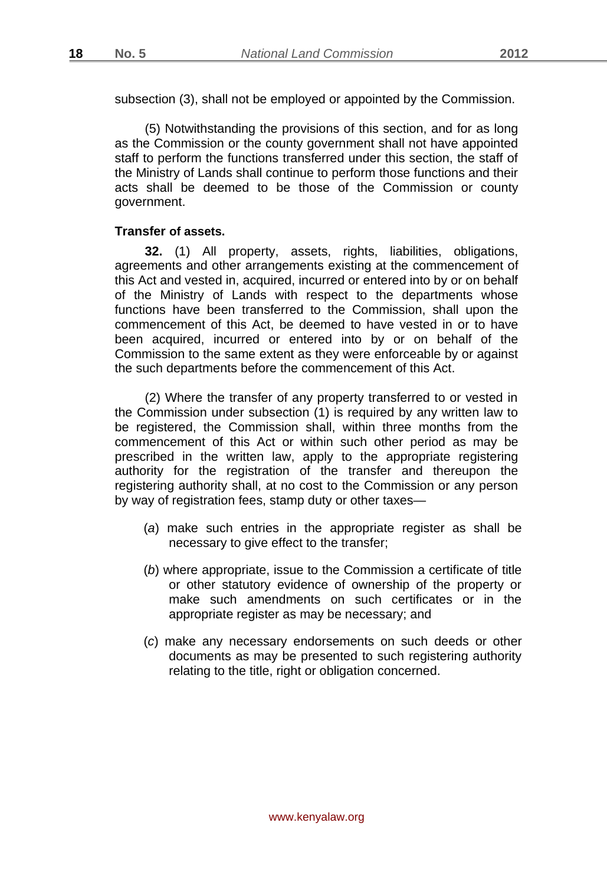subsection (3), shall not be employed or appointed by the Commission.

(5) Notwithstanding the provisions of this section, and for as long as the Commission or the county government shall not have appointed staff to perform the functions transferred under this section, the staff of the Ministry of Lands shall continue to perform those functions and their acts shall be deemed to be those of the Commission or county government.

## **Transfer of assets.**

**32.** (1) All property, assets, rights, liabilities, obligations, agreements and other arrangements existing at the commencement of this Act and vested in, acquired, incurred or entered into by or on behalf of the Ministry of Lands with respect to the departments whose functions have been transferred to the Commission, shall upon the commencement of this Act, be deemed to have vested in or to have been acquired, incurred or entered into by or on behalf of the Commission to the same extent as they were enforceable by or against the such departments before the commencement of this Act.

(2) Where the transfer of any property transferred to or vested in the Commission under subsection (1) is required by any written law to be registered, the Commission shall, within three months from the commencement of this Act or within such other period as may be prescribed in the written law, apply to the appropriate registering authority for the registration of the transfer and thereupon the registering authority shall, at no cost to the Commission or any person by way of registration fees, stamp duty or other taxes—

- (*a*) make such entries in the appropriate register as shall be necessary to give effect to the transfer;
- (*b*) where appropriate, issue to the Commission a certificate of title or other statutory evidence of ownership of the property or make such amendments on such certificates or in the appropriate register as may be necessary; and
- (*c*) make any necessary endorsements on such deeds or other documents as may be presented to such registering authority relating to the title, right or obligation concerned.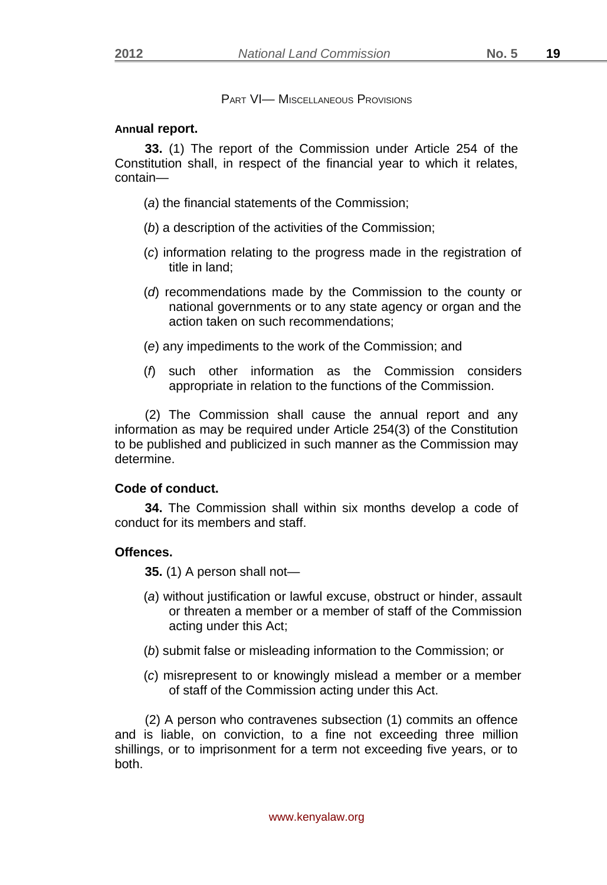PART VI- MISCELLANEOUS PROVISIONS

## **Annual report.**

**33.** (1) The report of the Commission under Article 254 of the Constitution shall, in respect of the financial year to which it relates, contain—

- (*a*) the financial statements of the Commission;
- (*b*) a description of the activities of the Commission;
- (*c*) information relating to the progress made in the registration of title in land;
- (*d*) recommendations made by the Commission to the county or national governments or to any state agency or organ and the action taken on such recommendations;
- (*e*) any impediments to the work of the Commission; and
- (*f*) such other information as the Commission considers appropriate in relation to the functions of the Commission.

(2) The Commission shall cause the annual report and any information as may be required under Article 254(3) of the Constitution to be published and publicized in such manner as the Commission may determine.

# **Code of conduct.**

**34.** The Commission shall within six months develop a code of conduct for its members and staff.

# **Offences.**

**35.** (1) A person shall not—

- (*a*) without justification or lawful excuse, obstruct or hinder, assault or threaten a member or a member of staff of the Commission acting under this Act;
- (*b*) submit false or misleading information to the Commission; or
- (*c*) misrepresent to or knowingly mislead a member or a member of staff of the Commission acting under this Act.

(2) A person who contravenes subsection (1) commits an offence and is liable, on conviction, to a fine not exceeding three million shillings, or to imprisonment for a term not exceeding five years, or to both.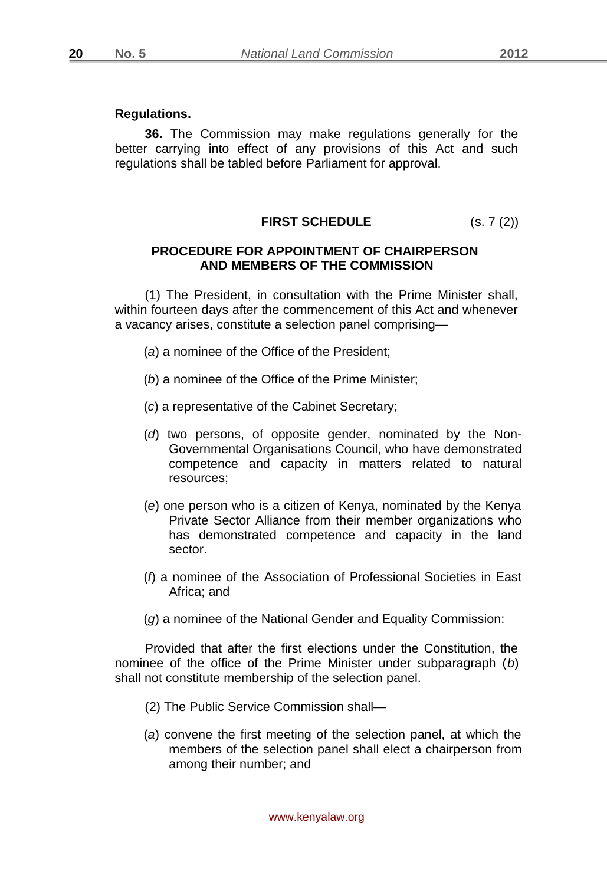#### **Regulations.**

**36.** The Commission may make regulations generally for the better carrying into effect of any provisions of this Act and such regulations shall be tabled before Parliament for approval.

# **FIRST SCHEDULE** (s. 7 (2))

## **PROCEDURE FOR APPOINTMENT OF CHAIRPERSON AND MEMBERS OF THE COMMISSION**

(1) The President, in consultation with the Prime Minister shall, within fourteen days after the commencement of this Act and whenever a vacancy arises, constitute a selection panel comprising—

- (*a*) a nominee of the Office of the President;
- (*b*) a nominee of the Office of the Prime Minister;
- (*c*) a representative of the Cabinet Secretary;
- (*d*) two persons, of opposite gender, nominated by the Non-Governmental Organisations Council, who have demonstrated competence and capacity in matters related to natural resources;
- (*e*) one person who is a citizen of Kenya, nominated by the Kenya Private Sector Alliance from their member organizations who has demonstrated competence and capacity in the land sector.
- (*f*) a nominee of the Association of Professional Societies in East Africa; and
- (*g*) a nominee of the National Gender and Equality Commission:

Provided that after the first elections under the Constitution, the nominee of the office of the Prime Minister under subparagraph (*b*) shall not constitute membership of the selection panel.

- (2) The Public Service Commission shall—
- (*a*) convene the first meeting of the selection panel, at which the members of the selection panel shall elect a chairperson from among their number; and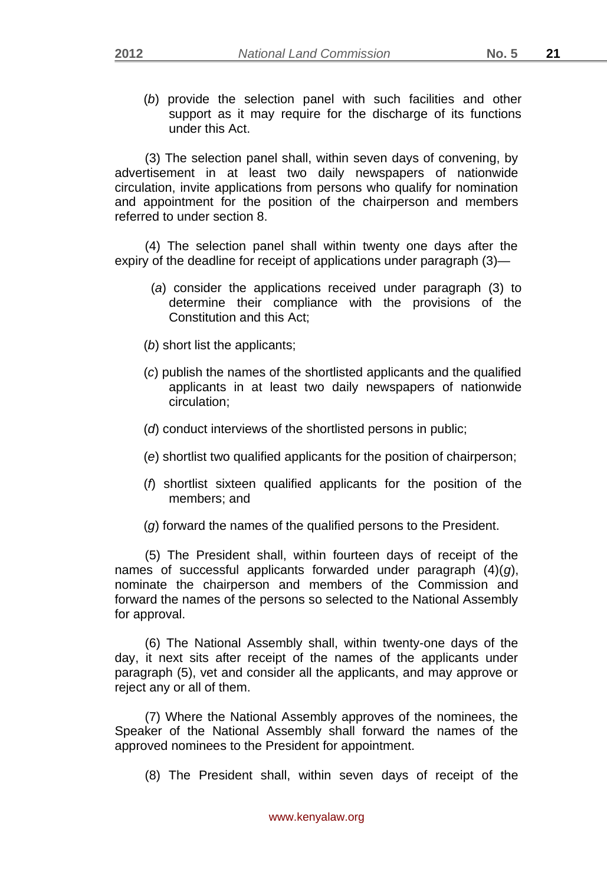(*b*) provide the selection panel with such facilities and other support as it may require for the discharge of its functions under this Act.

(3) The selection panel shall, within seven days of convening, by advertisement in at least two daily newspapers of nationwide circulation, invite applications from persons who qualify for nomination and appointment for the position of the chairperson and members referred to under section 8.

(4) The selection panel shall within twenty one days after the expiry of the deadline for receipt of applications under paragraph (3)—

- (*a*) consider the applications received under paragraph (3) to determine their compliance with the provisions of the Constitution and this Act;
- (*b*) short list the applicants;
- (*c*) publish the names of the shortlisted applicants and the qualified applicants in at least two daily newspapers of nationwide circulation;
- (*d*) conduct interviews of the shortlisted persons in public;
- (*e*) shortlist two qualified applicants for the position of chairperson;
- (*f*) shortlist sixteen qualified applicants for the position of the members; and
- (*g*) forward the names of the qualified persons to the President.

(5) The President shall, within fourteen days of receipt of the names of successful applicants forwarded under paragraph (4)(*g*), nominate the chairperson and members of the Commission and forward the names of the persons so selected to the National Assembly for approval.

(6) The National Assembly shall, within twenty-one days of the day, it next sits after receipt of the names of the applicants under paragraph (5), vet and consider all the applicants, and may approve or reject any or all of them.

(7) Where the National Assembly approves of the nominees, the Speaker of the National Assembly shall forward the names of the approved nominees to the President for appointment.

(8) The President shall, within seven days of receipt of the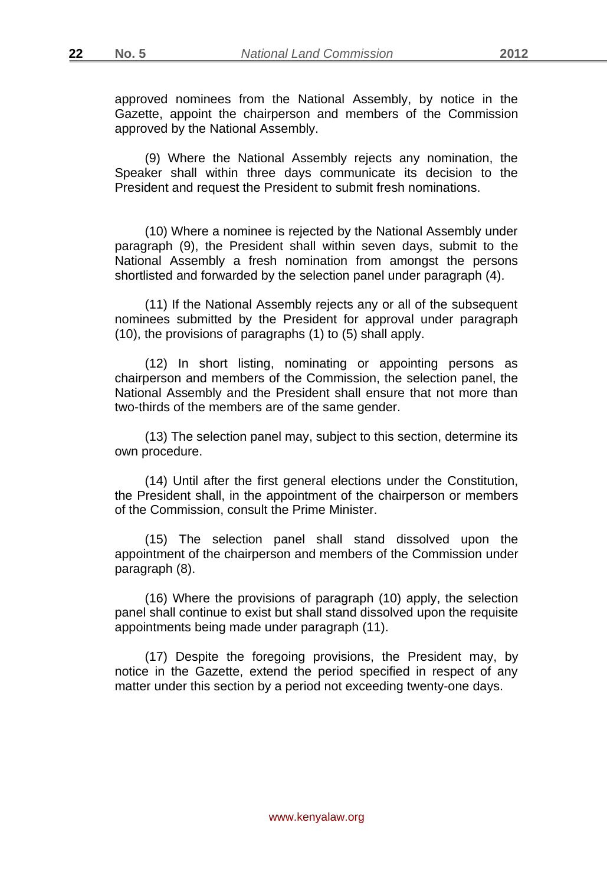approved nominees from the National Assembly, by notice in the Gazette, appoint the chairperson and members of the Commission approved by the National Assembly.

(9) Where the National Assembly rejects any nomination, the Speaker shall within three days communicate its decision to the President and request the President to submit fresh nominations.

(10) Where a nominee is rejected by the National Assembly under paragraph (9), the President shall within seven days, submit to the National Assembly a fresh nomination from amongst the persons shortlisted and forwarded by the selection panel under paragraph (4).

(11) If the National Assembly rejects any or all of the subsequent nominees submitted by the President for approval under paragraph (10), the provisions of paragraphs (1) to (5) shall apply.

(12) In short listing, nominating or appointing persons as chairperson and members of the Commission, the selection panel, the National Assembly and the President shall ensure that not more than two-thirds of the members are of the same gender.

(13) The selection panel may, subject to this section, determine its own procedure.

(14) Until after the first general elections under the Constitution, the President shall, in the appointment of the chairperson or members of the Commission, consult the Prime Minister.

(15) The selection panel shall stand dissolved upon the appointment of the chairperson and members of the Commission under paragraph (8).

(16) Where the provisions of paragraph (10) apply, the selection panel shall continue to exist but shall stand dissolved upon the requisite appointments being made under paragraph (11).

(17) Despite the foregoing provisions, the President may, by notice in the Gazette, extend the period specified in respect of any matter under this section by a period not exceeding twenty-one days.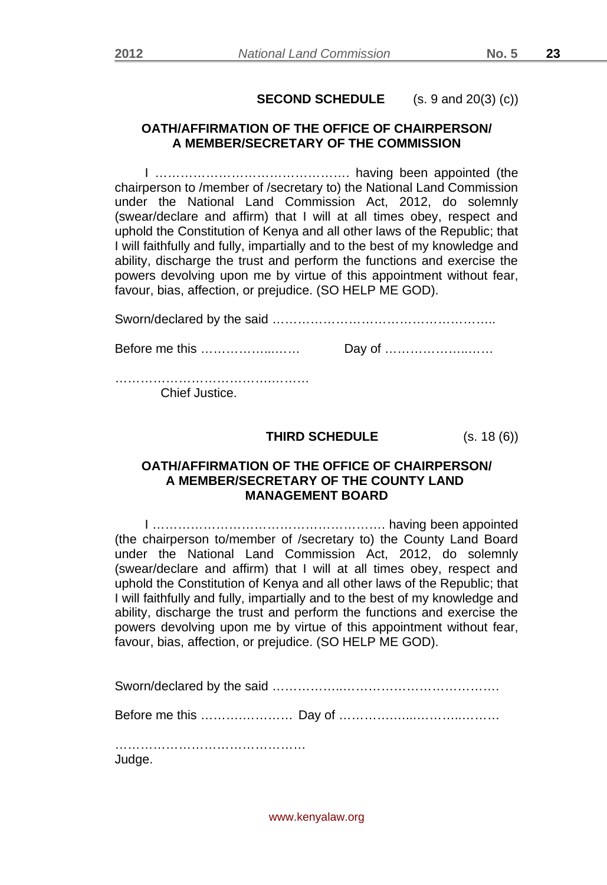# **SECOND SCHEDULE** (s. 9 and 20(3) (c))

# **OATH/AFFIRMATION OF THE OFFICE OF CHAIRPERSON/ A MEMBER/SECRETARY OF THE COMMISSION**

I ………………………………………. having been appointed (the chairperson to /member of /secretary to) the National Land Commission under the National Land Commission Act, 2012, do solemnly (swear/declare and affirm) that I will at all times obey, respect and uphold the Constitution of Kenya and all other laws of the Republic; that I will faithfully and fully, impartially and to the best of my knowledge and ability, discharge the trust and perform the functions and exercise the powers devolving upon me by virtue of this appointment without fear, favour, bias, affection, or prejudice. (SO HELP ME GOD).

Sworn/declared by the said …………………………………………….. Before me this ……………...…… Day of ………………..……

……………………………………………………… Chief Justice.

**THIRD SCHEDULE** (s. 18 (6))

## **OATH/AFFIRMATION OF THE OFFICE OF CHAIRPERSON/ A MEMBER/SECRETARY OF THE COUNTY LAND MANAGEMENT BOARD**

I ………………………………………………. having been appointed (the chairperson to/member of /secretary to) the County Land Board under the National Land Commission Act, 2012, do solemnly (swear/declare and affirm) that I will at all times obey, respect and uphold the Constitution of Kenya and all other laws of the Republic; that I will faithfully and fully, impartially and to the best of my knowledge and ability, discharge the trust and perform the functions and exercise the powers devolving upon me by virtue of this appointment without fear, favour, bias, affection, or prejudice. (SO HELP ME GOD).

Sworn/declared by the said ……………..……………………………….

Before me this ……….………… Day of ………….…...………..………

…………………………………………… Judge.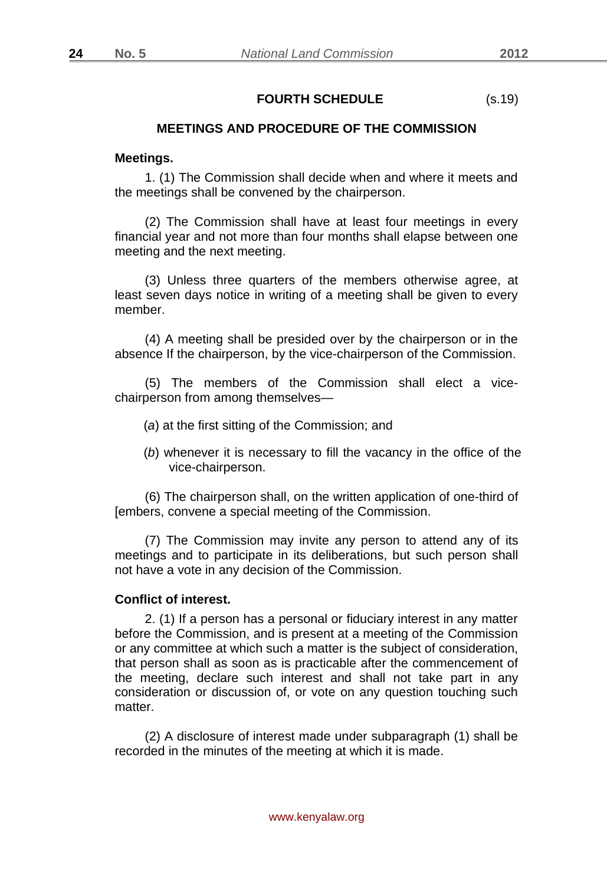# **FOURTH SCHEDULE** (s.19)

## **MEETINGS AND PROCEDURE OF THE COMMISSION**

#### **Meetings.**

1. (1) The Commission shall decide when and where it meets and the meetings shall be convened by the chairperson.

(2) The Commission shall have at least four meetings in every financial year and not more than four months shall elapse between one meeting and the next meeting.

(3) Unless three quarters of the members otherwise agree, at least seven days notice in writing of a meeting shall be given to every member.

(4) A meeting shall be presided over by the chairperson or in the absence If the chairperson, by the vice-chairperson of the Commission.

(5) The members of the Commission shall elect a vicechairperson from among themselves—

- (*a*) at the first sitting of the Commission; and
- (*b*) whenever it is necessary to fill the vacancy in the office of the vice-chairperson.

(6) The chairperson shall, on the written application of one-third of [embers, convene a special meeting of the Commission.

(7) The Commission may invite any person to attend any of its meetings and to participate in its deliberations, but such person shall not have a vote in any decision of the Commission.

#### **Conflict of interest.**

2. (1) If a person has a personal or fiduciary interest in any matter before the Commission, and is present at a meeting of the Commission or any committee at which such a matter is the subject of consideration, that person shall as soon as is practicable after the commencement of the meeting, declare such interest and shall not take part in any consideration or discussion of, or vote on any question touching such matter.

(2) A disclosure of interest made under subparagraph (1) shall be recorded in the minutes of the meeting at which it is made.